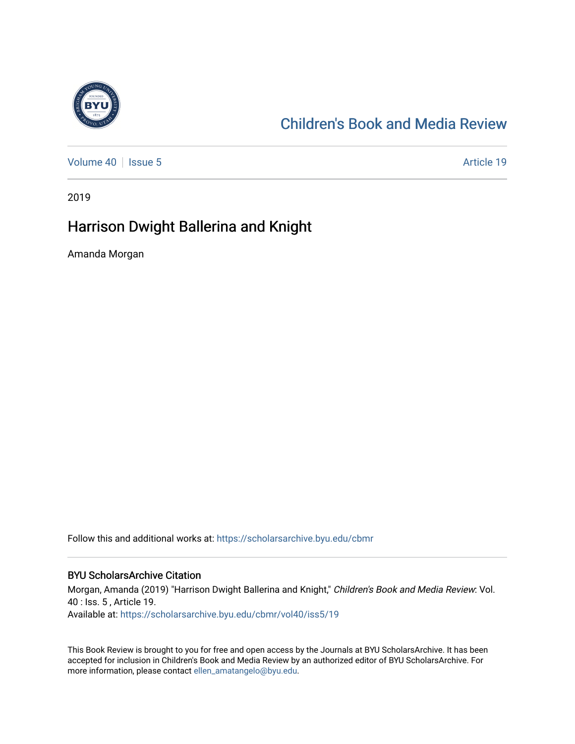

# [Children's Book and Media Review](https://scholarsarchive.byu.edu/cbmr)

[Volume 40](https://scholarsarchive.byu.edu/cbmr/vol40) | [Issue 5](https://scholarsarchive.byu.edu/cbmr/vol40/iss5) Article 19

2019

## Harrison Dwight Ballerina and Knight

Amanda Morgan

Follow this and additional works at: [https://scholarsarchive.byu.edu/cbmr](https://scholarsarchive.byu.edu/cbmr?utm_source=scholarsarchive.byu.edu%2Fcbmr%2Fvol40%2Fiss5%2F19&utm_medium=PDF&utm_campaign=PDFCoverPages) 

#### BYU ScholarsArchive Citation

Morgan, Amanda (2019) "Harrison Dwight Ballerina and Knight," Children's Book and Media Review: Vol. 40 : Iss. 5 , Article 19. Available at: [https://scholarsarchive.byu.edu/cbmr/vol40/iss5/19](https://scholarsarchive.byu.edu/cbmr/vol40/iss5/19?utm_source=scholarsarchive.byu.edu%2Fcbmr%2Fvol40%2Fiss5%2F19&utm_medium=PDF&utm_campaign=PDFCoverPages)

This Book Review is brought to you for free and open access by the Journals at BYU ScholarsArchive. It has been accepted for inclusion in Children's Book and Media Review by an authorized editor of BYU ScholarsArchive. For more information, please contact [ellen\\_amatangelo@byu.edu.](mailto:ellen_amatangelo@byu.edu)